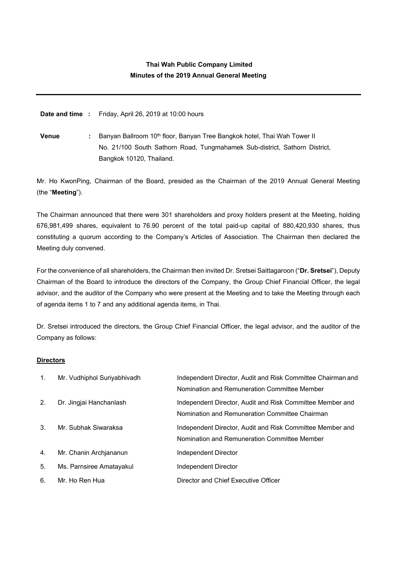# **Thai Wah Public Company Limited Minutes of the 2019 Annual General Meeting**

**Date and time :** Friday, April 26, 2019 at 10:00 hours

**Venue** : Banyan Ballroom 10<sup>th</sup> floor, Banyan Tree Bangkok hotel, Thai Wah Tower II No. 21/100 South Sathorn Road, Tungmahamek Sub-district, Sathorn District, Bangkok 10120, Thailand.

Mr. Ho KwonPing, Chairman of the Board, presided as the Chairman of the 2019 Annual General Meeting (the "**Meeting**").

The Chairman announced that there were 301 shareholders and proxy holders present at the Meeting, holding 676,981,499 shares, equivalent to 76.90 percent of the total paid-up capital of 880,420,930 shares, thus constituting a quorum according to the Company's Articles of Association. The Chairman then declared the Meeting duly convened.

For the convenience of all shareholders, the Chairman then invited Dr. Sretsei Saittagaroon ("**Dr. Sretsei**"), Deputy Chairman of the Board to introduce the directors of the Company, the Group Chief Financial Officer, the legal advisor, and the auditor of the Company who were present at the Meeting and to take the Meeting through each of agenda items 1 to 7 and any additional agenda items, in Thai.

Dr. Sretsei introduced the directors, the Group Chief Financial Officer, the legal advisor, and the auditor of the Company as follows:

## **Directors**

| $\mathbf{1}$ . | Mr. Vudhiphol Suriyabhivadh | Independent Director, Audit and Risk Committee Chairman and<br>Nomination and Remuneration Committee Member |
|----------------|-----------------------------|-------------------------------------------------------------------------------------------------------------|
| 2.             | Dr. Jingjai Hanchanlash     | Independent Director, Audit and Risk Committee Member and<br>Nomination and Remuneration Committee Chairman |
| 3.             | Mr. Subhak Siwaraksa        | Independent Director, Audit and Risk Committee Member and<br>Nomination and Remuneration Committee Member   |
| 4.             | Mr. Chanin Archiananun      | Independent Director                                                                                        |
| 5.             | Ms. Parnsiree Amatayakul    | Independent Director                                                                                        |
| 6.             | Mr. Ho Ren Hua              | Director and Chief Executive Officer                                                                        |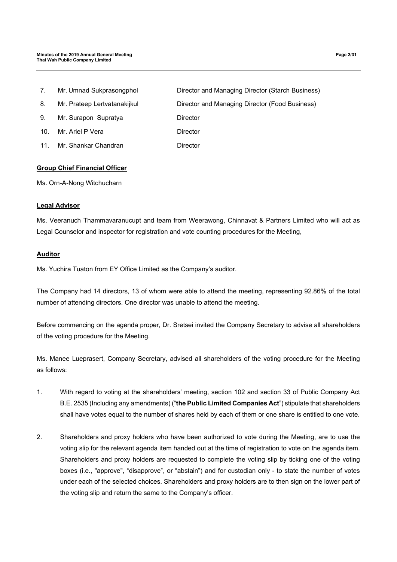7. Mr. Umnad Sukprasongphol Director and Managing Director (Starch Business) 8. Mr. Prateep Lertvatanakijkul Director and Managing Director (Food Business) 9. Mr. Surapon Supratya **Director** 10. Mr. Ariel P Vera **Director** 11. Mr. Shankar Chandran **Director** 

## **Group Chief Financial Officer**

Ms. Orn-A-Nong Witchucharn

#### **Legal Advisor**

Ms. Veeranuch Thammavaranucupt and team from Weerawong, Chinnavat & Partners Limited who will act as Legal Counselor and inspector for registration and vote counting procedures for the Meeting,

#### **Auditor**

Ms. Yuchira Tuaton from EY Office Limited as the Company's auditor.

The Company had 14 directors, 13 of whom were able to attend the meeting, representing 92.86% of the total number of attending directors. One director was unable to attend the meeting.

Before commencing on the agenda proper, Dr. Sretsei invited the Company Secretary to advise all shareholders of the voting procedure for the Meeting.

Ms. Manee Lueprasert, Company Secretary, advised all shareholders of the voting procedure for the Meeting as follows:

- 1. With regard to voting at the shareholders' meeting, section 102 and section 33 of Public Company Act B.E. 2535 (Including any amendments) ("**the Public Limited Companies Act**") stipulate that shareholders shall have votes equal to the number of shares held by each of them or one share is entitled to one vote.
- 2. Shareholders and proxy holders who have been authorized to vote during the Meeting, are to use the voting slip for the relevant agenda item handed out at the time of registration to vote on the agenda item. Shareholders and proxy holders are requested to complete the voting slip by ticking one of the voting boxes (i.e., "approve", "disapprove", or "abstain") and for custodian only - to state the number of votes under each of the selected choices. Shareholders and proxy holders are to then sign on the lower part of the voting slip and return the same to the Company's officer.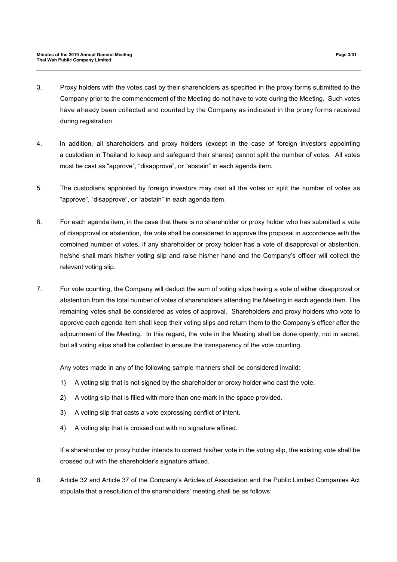- 3. Proxy holders with the votes cast by their shareholders as specified in the proxy forms submitted to the Company prior to the commencement of the Meeting do not have to vote during the Meeting. Such votes have already been collected and counted by the Company as indicated in the proxy forms received during registration.
- 4. In addition, all shareholders and proxy holders (except in the case of foreign investors appointing a custodian in Thailand to keep and safeguard their shares) cannot split the number of votes. All votes must be cast as "approve", "disapprove", or "abstain" in each agenda item.
- 5. The custodians appointed by foreign investors may cast all the votes or split the number of votes as "approve", "disapprove", or "abstain" in each agenda item.
- 6. For each agenda item, in the case that there is no shareholder or proxy holder who has submitted a vote of disapproval or abstention, the vote shall be considered to approve the proposal in accordance with the combined number of votes. If any shareholder or proxy holder has a vote of disapproval or abstention, he/she shall mark his/her voting slip and raise his/her hand and the Company's officer will collect the relevant voting slip.
- 7. For vote counting, the Company will deduct the sum of voting slips having a vote of either disapproval or abstention from the total number of votes of shareholders attending the Meeting in each agenda item. The remaining votes shall be considered as votes of approval. Shareholders and proxy holders who vote to approve each agenda item shall keep their voting slips and return them to the Company's officer after the adjournment of the Meeting. In this regard, the vote in the Meeting shall be done openly, not in secret, but all voting slips shall be collected to ensure the transparency of the vote counting.

Any votes made in any of the following sample manners shall be considered invalid:

- 1) A voting slip that is not signed by the shareholder or proxy holder who cast the vote.
- 2) A voting slip that is filled with more than one mark in the space provided.
- 3) A voting slip that casts a vote expressing conflict of intent.
- 4) A voting slip that is crossed out with no signature affixed.

If a shareholder or proxy holder intends to correct his/her vote in the voting slip, the existing vote shall be crossed out with the shareholder's signature affixed.

8. Article 32 and Article 37 of the Company's Articles of Association and the Public Limited Companies Act stipulate that a resolution of the shareholders' meeting shall be as follows: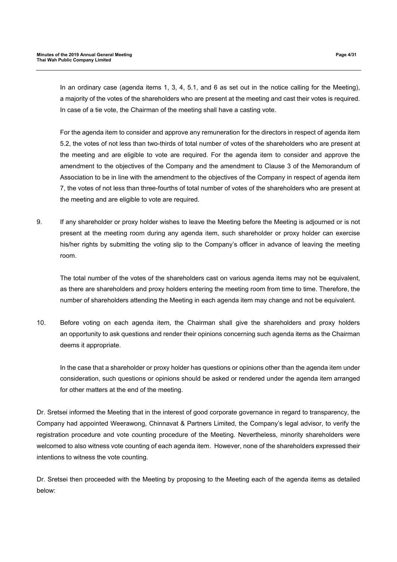For the agenda item to consider and approve any remuneration for the directors in respect of agenda item 5.2, the votes of not less than two-thirds of total number of votes of the shareholders who are present at the meeting and are eligible to vote are required. For the agenda item to consider and approve the amendment to the objectives of the Company and the amendment to Clause 3 of the Memorandum of Association to be in line with the amendment to the objectives of the Company in respect of agenda item 7, the votes of not less than three-fourths of total number of votes of the shareholders who are present at the meeting and are eligible to vote are required.

9. If any shareholder or proxy holder wishes to leave the Meeting before the Meeting is adjourned or is not present at the meeting room during any agenda item, such shareholder or proxy holder can exercise his/her rights by submitting the voting slip to the Company's officer in advance of leaving the meeting room.

The total number of the votes of the shareholders cast on various agenda items may not be equivalent, as there are shareholders and proxy holders entering the meeting room from time to time. Therefore, the number of shareholders attending the Meeting in each agenda item may change and not be equivalent.

10. Before voting on each agenda item, the Chairman shall give the shareholders and proxy holders an opportunity to ask questions and render their opinions concerning such agenda items as the Chairman deems it appropriate.

In the case that a shareholder or proxy holder has questions or opinions other than the agenda item under consideration, such questions or opinions should be asked or rendered under the agenda item arranged for other matters at the end of the meeting.

Dr. Sretsei informed the Meeting that in the interest of good corporate governance in regard to transparency, the Company had appointed Weerawong, Chinnavat & Partners Limited, the Company's legal advisor, to verify the registration procedure and vote counting procedure of the Meeting. Nevertheless, minority shareholders were welcomed to also witness vote counting of each agenda item. However, none of the shareholders expressed their intentions to witness the vote counting.

Dr. Sretsei then proceeded with the Meeting by proposing to the Meeting each of the agenda items as detailed below: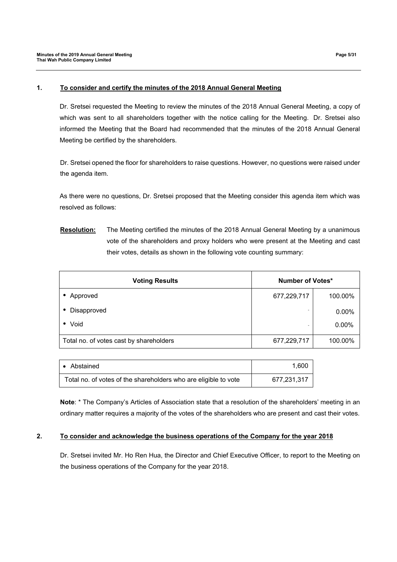#### **1. To consider and certify the minutes of the 2018 Annual General Meeting**

Dr. Sretsei requested the Meeting to review the minutes of the 2018 Annual General Meeting, a copy of which was sent to all shareholders together with the notice calling for the Meeting. Dr. Sretsei also informed the Meeting that the Board had recommended that the minutes of the 2018 Annual General Meeting be certified by the shareholders.

Dr. Sretsei opened the floor for shareholders to raise questions. However, no questions were raised under the agenda item.

As there were no questions, Dr. Sretsei proposed that the Meeting consider this agenda item which was resolved as follows:

**Resolution:** The Meeting certified the minutes of the 2018 Annual General Meeting by a unanimous vote of the shareholders and proxy holders who were present at the Meeting and cast their votes, details as shown in the following vote counting summary:

| <b>Voting Results</b>                   | Number of Votes* |          |
|-----------------------------------------|------------------|----------|
| Approved                                | 677,229,717      | 100.00%  |
| Disapproved<br>$\bullet$                |                  | $0.00\%$ |
| Void<br>$\bullet$                       |                  | $0.00\%$ |
| Total no. of votes cast by shareholders | 677,229,717      | 100.00%  |

| • Abstained                                                     | 1.600       |
|-----------------------------------------------------------------|-------------|
| Total no. of votes of the shareholders who are eligible to vote | 677,231,317 |

**Note**: \* The Company's Articles of Association state that a resolution of the shareholders' meeting in an ordinary matter requires a majority of the votes of the shareholders who are present and cast their votes.

#### **2. To consider and acknowledge the business operations of the Company for the year 2018**

Dr. Sretsei invited Mr. Ho Ren Hua, the Director and Chief Executive Officer, to report to the Meeting on the business operations of the Company for the year 2018.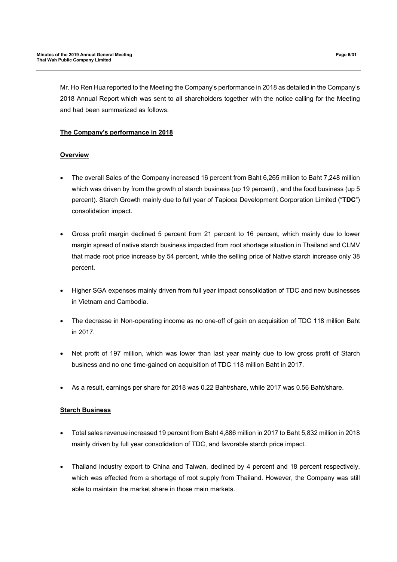Mr. Ho Ren Hua reported to the Meeting the Company's performance in 2018 as detailed in the Company's 2018 Annual Report which was sent to all shareholders together with the notice calling for the Meeting and had been summarized as follows:

## **The Company's performance in 2018**

## **Overview**

- The overall Sales of the Company increased 16 percent from Baht 6,265 million to Baht 7,248 million which was driven by from the growth of starch business (up 19 percent) , and the food business (up 5 percent). Starch Growth mainly due to full year of Tapioca Development Corporation Limited ("**TDC**") consolidation impact.
- Gross profit margin declined 5 percent from 21 percent to 16 percent, which mainly due to lower margin spread of native starch business impacted from root shortage situation in Thailand and CLMV that made root price increase by 54 percent, while the selling price of Native starch increase only 38 percent.
- Higher SGA expenses mainly driven from full year impact consolidation of TDC and new businesses in Vietnam and Cambodia.
- The decrease in Non-operating income as no one-off of gain on acquisition of TDC 118 million Baht in 2017.
- Net profit of 197 million, which was lower than last year mainly due to low gross profit of Starch business and no one time-gained on acquisition of TDC 118 million Baht in 2017.
- As a result, earnings per share for 2018 was 0.22 Baht/share, while 2017 was 0.56 Baht/share.

# **Starch Business**

- Total sales revenue increased 19 percent from Baht 4,886 million in 2017 to Baht 5,832 million in 2018 mainly driven by full year consolidation of TDC, and favorable starch price impact.
- Thailand industry export to China and Taiwan, declined by 4 percent and 18 percent respectively, which was effected from a shortage of root supply from Thailand. However, the Company was still able to maintain the market share in those main markets.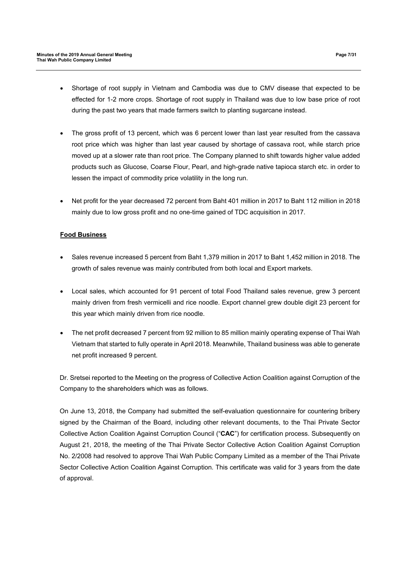- Shortage of root supply in Vietnam and Cambodia was due to CMV disease that expected to be effected for 1-2 more crops. Shortage of root supply in Thailand was due to low base price of root during the past two years that made farmers switch to planting sugarcane instead.
- The gross profit of 13 percent, which was 6 percent lower than last year resulted from the cassava root price which was higher than last year caused by shortage of cassava root, while starch price moved up at a slower rate than root price. The Company planned to shift towards higher value added products such as Glucose, Coarse Flour, Pearl, and high-grade native tapioca starch etc. in order to lessen the impact of commodity price volatility in the long run.
- Net profit for the year decreased 72 percent from Baht 401 million in 2017 to Baht 112 million in 2018 mainly due to low gross profit and no one-time gained of TDC acquisition in 2017.

# **Food Business**

- Sales revenue increased 5 percent from Baht 1,379 million in 2017 to Baht 1,452 million in 2018. The growth of sales revenue was mainly contributed from both local and Export markets.
- Local sales, which accounted for 91 percent of total Food Thailand sales revenue, grew 3 percent mainly driven from fresh vermicelli and rice noodle. Export channel grew double digit 23 percent for this year which mainly driven from rice noodle.
- The net profit decreased 7 percent from 92 million to 85 million mainly operating expense of Thai Wah Vietnam that started to fully operate in April 2018. Meanwhile, Thailand business was able to generate net profit increased 9 percent.

Dr. Sretsei reported to the Meeting on the progress of Collective Action Coalition against Corruption of the Company to the shareholders which was as follows.

On June 13, 2018, the Company had submitted the self-evaluation questionnaire for countering bribery signed by the Chairman of the Board, including other relevant documents, to the Thai Private Sector Collective Action Coalition Against Corruption Council ("**CAC**") for certification process. Subsequently on August 21, 2018, the meeting of the Thai Private Sector Collective Action Coalition Against Corruption No. 2/2008 had resolved to approve Thai Wah Public Company Limited as a member of the Thai Private Sector Collective Action Coalition Against Corruption. This certificate was valid for 3 years from the date of approval.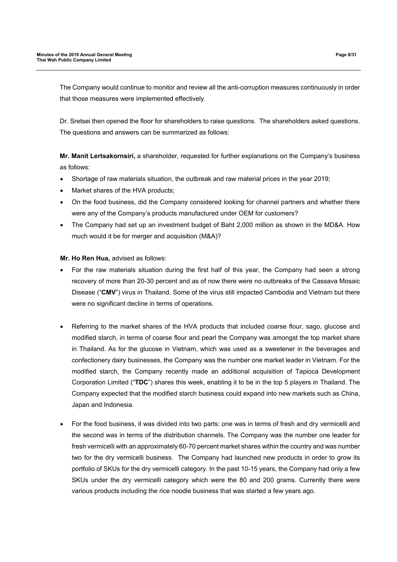The Company would continue to monitor and review all the anti-corruption measures continuously in order that those measures were implemented effectively.

Dr. Sretsei then opened the floor for shareholders to raise questions. The shareholders asked questions. The questions and answers can be summarized as follows:

**Mr. Manit Lertsakornsiri,** a shareholder, requested for further explanations on the Company's business as follows:

- Shortage of raw materials situation, the outbreak and raw material prices in the year 2019;
- Market shares of the HVA products;
- On the food business, did the Company considered looking for channel partners and whether there were any of the Company's products manufactured under OEM for customers?
- The Company had set up an investment budget of Baht 2,000 million as shown in the MD&A. How much would it be for merger and acquisition (M&A)?

#### **Mr. Ho Ren Hua,** advised as follows:

- For the raw materials situation during the first half of this year, the Company had seen a strong recovery of more than 20-30 percent and as of now there were no outbreaks of the Cassava Mosaic Disease ("**CMV**") virus in Thailand. Some of the virus still impacted Cambodia and Vietnam but there were no significant decline in terms of operations.
- Referring to the market shares of the HVA products that included coarse flour, sago, glucose and modified starch, in terms of coarse flour and pearl the Company was amongst the top market share in Thailand. As for the glucose in Vietnam, which was used as a sweetener in the beverages and confectionery dairy businesses, the Company was the number one market leader in Vietnam. For the modified starch, the Company recently made an additional acquisition of Tapioca Development Corporation Limited ("**TDC**") shares this week, enabling it to be in the top 5 players in Thailand. The Company expected that the modified starch business could expand into new markets such as China, Japan and Indonesia.
- For the food business, it was divided into two parts: one was in terms of fresh and dry vermicelli and the second was in terms of the distribution channels. The Company was the number one leader for fresh vermicelli with an approximately 60-70 percent market shares within the country and was number two for the dry vermicelli business. The Company had launched new products in order to grow its portfolio of SKUs for the dry vermicelli category. In the past 10-15 years, the Company had only a few SKUs under the dry vermicelli category which were the 80 and 200 grams. Currently there were various products including the rice noodle business that was started a few years ago.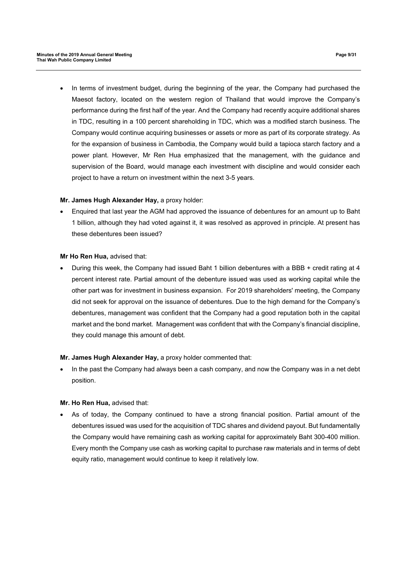• In terms of investment budget, during the beginning of the year, the Company had purchased the Maesot factory, located on the western region of Thailand that would improve the Company's performance during the first half of the year. And the Company had recently acquire additional shares in TDC, resulting in a 100 percent shareholding in TDC, which was a modified starch business. The Company would continue acquiring businesses or assets or more as part of its corporate strategy. As for the expansion of business in Cambodia, the Company would build a tapioca starch factory and a power plant. However, Mr Ren Hua emphasized that the management, with the guidance and supervision of the Board, would manage each investment with discipline and would consider each project to have a return on investment within the next 3-5 years.

#### **Mr. James Hugh Alexander Hay,** a proxy holder:

 Enquired that last year the AGM had approved the issuance of debentures for an amount up to Baht 1 billion, although they had voted against it, it was resolved as approved in principle. At present has these debentures been issued?

#### **Mr Ho Ren Hua,** advised that:

 During this week, the Company had issued Baht 1 billion debentures with a BBB + credit rating at 4 percent interest rate. Partial amount of the debenture issued was used as working capital while the other part was for investment in business expansion. For 2019 shareholders' meeting, the Company did not seek for approval on the issuance of debentures. Due to the high demand for the Company's debentures, management was confident that the Company had a good reputation both in the capital market and the bond market. Management was confident that with the Company's financial discipline, they could manage this amount of debt.

#### **Mr. James Hugh Alexander Hay,** a proxy holder commented that:

 In the past the Company had always been a cash company, and now the Company was in a net debt position.

#### **Mr. Ho Ren Hua,** advised that:

 As of today, the Company continued to have a strong financial position. Partial amount of the debentures issued was used for the acquisition of TDC shares and dividend payout. But fundamentally the Company would have remaining cash as working capital for approximately Baht 300-400 million. Every month the Company use cash as working capital to purchase raw materials and in terms of debt equity ratio, management would continue to keep it relatively low.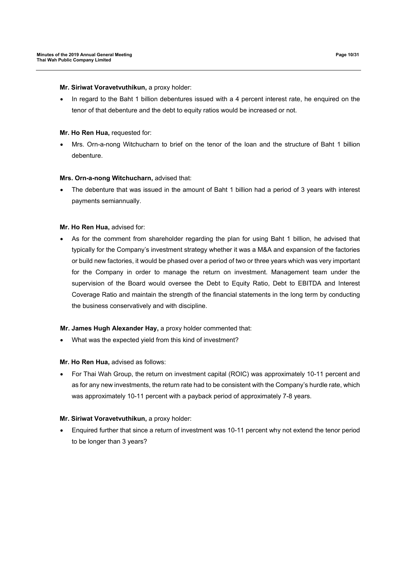#### **Mr. Siriwat Voravetvuthikun,** a proxy holder:

• In regard to the Baht 1 billion debentures issued with a 4 percent interest rate, he enquired on the tenor of that debenture and the debt to equity ratios would be increased or not.

## **Mr. Ho Ren Hua, requested for:**

 Mrs. Orn-a-nong Witchucharn to brief on the tenor of the loan and the structure of Baht 1 billion debenture.

#### **Mrs. Orn-a-nong Witchucharn,** advised that:

 The debenture that was issued in the amount of Baht 1 billion had a period of 3 years with interest payments semiannually.

#### **Mr. Ho Ren Hua,** advised for:

 As for the comment from shareholder regarding the plan for using Baht 1 billion, he advised that typically for the Company's investment strategy whether it was a M&A and expansion of the factories or build new factories, it would be phased over a period of two or three years which was very important for the Company in order to manage the return on investment. Management team under the supervision of the Board would oversee the Debt to Equity Ratio, Debt to EBITDA and Interest Coverage Ratio and maintain the strength of the financial statements in the long term by conducting the business conservatively and with discipline.

## **Mr. James Hugh Alexander Hay,** a proxy holder commented that:

What was the expected yield from this kind of investment?

#### **Mr. Ho Ren Hua,** advised as follows:

 For Thai Wah Group, the return on investment capital (ROIC) was approximately 10-11 percent and as for any new investments, the return rate had to be consistent with the Company's hurdle rate, which was approximately 10-11 percent with a payback period of approximately 7-8 years.

## **Mr. Siriwat Voravetvuthikun,** a proxy holder:

 Enquired further that since a return of investment was 10-11 percent why not extend the tenor period to be longer than 3 years?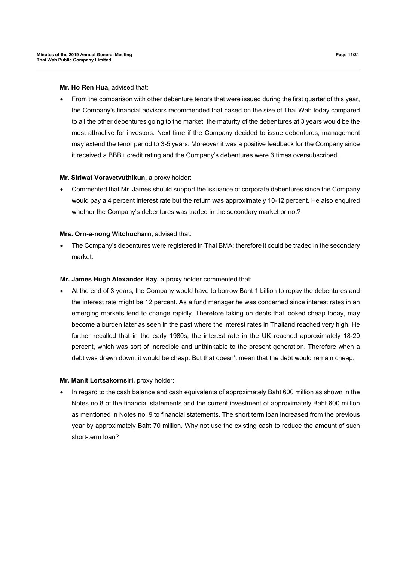**Mr. Ho Ren Hua,** advised that:

 From the comparison with other debenture tenors that were issued during the first quarter of this year, the Company's financial advisors recommended that based on the size of Thai Wah today compared to all the other debentures going to the market, the maturity of the debentures at 3 years would be the most attractive for investors. Next time if the Company decided to issue debentures, management may extend the tenor period to 3-5 years. Moreover it was a positive feedback for the Company since it received a BBB+ credit rating and the Company's debentures were 3 times oversubscribed.

## **Mr. Siriwat Voravetvuthikun, a proxy holder:**

 Commented that Mr. James should support the issuance of corporate debentures since the Company would pay a 4 percent interest rate but the return was approximately 10-12 percent. He also enquired whether the Company's debentures was traded in the secondary market or not?

#### **Mrs. Orn-a-nong Witchucharn,** advised that:

 The Company's debentures were registered in Thai BMA; therefore it could be traded in the secondary market.

### **Mr. James Hugh Alexander Hay,** a proxy holder commented that:

 At the end of 3 years, the Company would have to borrow Baht 1 billion to repay the debentures and the interest rate might be 12 percent. As a fund manager he was concerned since interest rates in an emerging markets tend to change rapidly. Therefore taking on debts that looked cheap today, may become a burden later as seen in the past where the interest rates in Thailand reached very high. He further recalled that in the early 1980s, the interest rate in the UK reached approximately 18-20 percent, which was sort of incredible and unthinkable to the present generation. Therefore when a debt was drawn down, it would be cheap. But that doesn't mean that the debt would remain cheap.

#### **Mr. Manit Lertsakornsiri,** proxy holder:

 In regard to the cash balance and cash equivalents of approximately Baht 600 million as shown in the Notes no.8 of the financial statements and the current investment of approximately Baht 600 million as mentioned in Notes no. 9 to financial statements. The short term loan increased from the previous year by approximately Baht 70 million. Why not use the existing cash to reduce the amount of such short-term loan?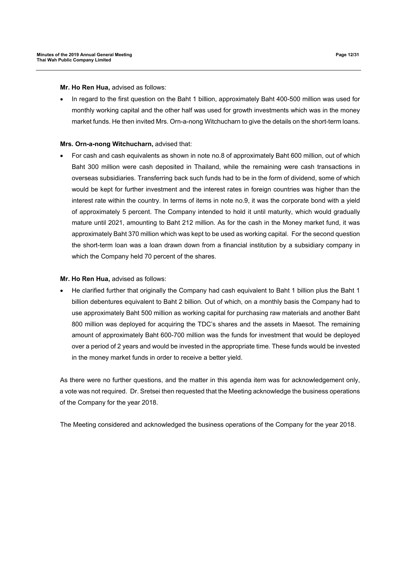**Mr. Ho Ren Hua,** advised as follows:

 In regard to the first question on the Baht 1 billion, approximately Baht 400-500 million was used for monthly working capital and the other half was used for growth investments which was in the money market funds. He then invited Mrs. Orn-a-nong Witchucharn to give the details on the short-term loans.

#### **Mrs. Orn-a-nong Witchucharn,** advised that:

 For cash and cash equivalents as shown in note no.8 of approximately Baht 600 million, out of which Baht 300 million were cash deposited in Thailand, while the remaining were cash transactions in overseas subsidiaries. Transferring back such funds had to be in the form of dividend, some of which would be kept for further investment and the interest rates in foreign countries was higher than the interest rate within the country. In terms of items in note no.9, it was the corporate bond with a yield of approximately 5 percent. The Company intended to hold it until maturity, which would gradually mature until 2021, amounting to Baht 212 million. As for the cash in the Money market fund, it was approximately Baht 370 million which was kept to be used as working capital. For the second question the short-term loan was a loan drawn down from a financial institution by a subsidiary company in which the Company held 70 percent of the shares.

### **Mr. Ho Ren Hua,** advised as follows:

 He clarified further that originally the Company had cash equivalent to Baht 1 billion plus the Baht 1 billion debentures equivalent to Baht 2 billion. Out of which, on a monthly basis the Company had to use approximately Baht 500 million as working capital for purchasing raw materials and another Baht 800 million was deployed for acquiring the TDC's shares and the assets in Maesot. The remaining amount of approximately Baht 600-700 million was the funds for investment that would be deployed over a period of 2 years and would be invested in the appropriate time. These funds would be invested in the money market funds in order to receive a better yield.

As there were no further questions, and the matter in this agenda item was for acknowledgement only, a vote was not required. Dr. Sretsei then requested that the Meeting acknowledge the business operations of the Company for the year 2018.

The Meeting considered and acknowledged the business operations of the Company for the year 2018.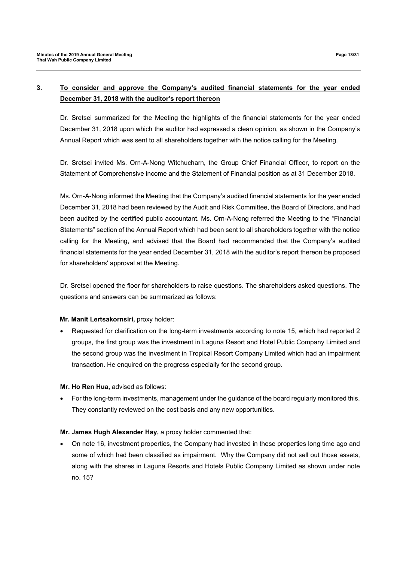# **3. To consider and approve the Company's audited financial statements for the year ended December 31, 2018 with the auditor's report thereon**

Dr. Sretsei summarized for the Meeting the highlights of the financial statements for the year ended December 31, 2018 upon which the auditor had expressed a clean opinion, as shown in the Company's Annual Report which was sent to all shareholders together with the notice calling for the Meeting.

Dr. Sretsei invited Ms. Orn-A-Nong Witchucharn, the Group Chief Financial Officer, to report on the Statement of Comprehensive income and the Statement of Financial position as at 31 December 2018.

Ms. Orn-A-Nong informed the Meeting that the Company's audited financial statements for the year ended December 31, 2018 had been reviewed by the Audit and Risk Committee, the Board of Directors, and had been audited by the certified public accountant. Ms. Orn-A-Nong referred the Meeting to the "Financial Statements" section of the Annual Report which had been sent to all shareholders together with the notice calling for the Meeting, and advised that the Board had recommended that the Company's audited financial statements for the year ended December 31, 2018 with the auditor's report thereon be proposed for shareholders' approval at the Meeting.

Dr. Sretsei opened the floor for shareholders to raise questions. The shareholders asked questions. The questions and answers can be summarized as follows:

## **Mr. Manit Lertsakornsiri,** proxy holder:

 Requested for clarification on the long-term investments according to note 15, which had reported 2 groups, the first group was the investment in Laguna Resort and Hotel Public Company Limited and the second group was the investment in Tropical Resort Company Limited which had an impairment transaction. He enquired on the progress especially for the second group.

#### **Mr. Ho Ren Hua,** advised as follows:

 For the long-term investments, management under the guidance of the board regularly monitored this. They constantly reviewed on the cost basis and any new opportunities.

## **Mr. James Hugh Alexander Hay,** a proxy holder commented that:

 On note 16, investment properties, the Company had invested in these properties long time ago and some of which had been classified as impairment. Why the Company did not sell out those assets, along with the shares in Laguna Resorts and Hotels Public Company Limited as shown under note no. 15?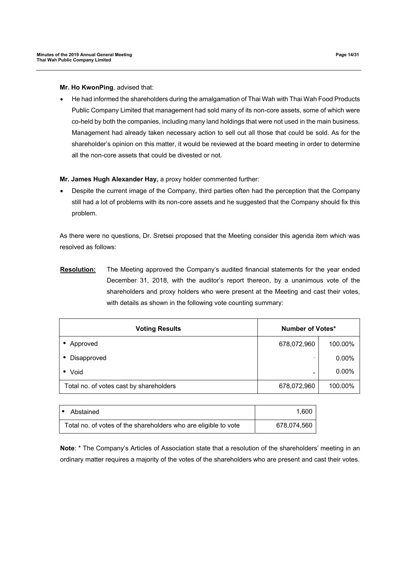**Mr. Ho KwonPing**, advised that:

 He had informed the shareholders during the amalgamation of Thai Wah with Thai Wah Food Products Public Company Limited that management had sold many of its non-core assets, some of which were co-held by both the companies, including many land holdings that were not used in the main business. Management had already taken necessary action to sell out all those that could be sold. As for the shareholder's opinion on this matter, it would be reviewed at the board meeting in order to determine all the non-core assets that could be divested or not.

**Mr. James Hugh Alexander Hay,** a proxy holder commented further:

 Despite the current image of the Company, third parties often had the perception that the Company still had a lot of problems with its non-core assets and he suggested that the Company should fix this problem.

As there were no questions, Dr. Sretsei proposed that the Meeting consider this agenda item which was resolved as follows:

**Resolution:** The Meeting approved the Company's audited financial statements for the year ended December 31, 2018, with the auditor's report thereon, by a unanimous vote of the shareholders and proxy holders who were present at the Meeting and cast their votes, with details as shown in the following vote counting summary:

| <b>Voting Results</b>                   | Number of Votes* |          |
|-----------------------------------------|------------------|----------|
| Approved                                | 678,072,960      | 100.00%  |
| Disapproved                             |                  | $0.00\%$ |
| Void<br>$\bullet$                       | -                | $0.00\%$ |
| Total no. of votes cast by shareholders | 678,072,960      | 100.00%  |

| Abstained                                                       | 1.600       |
|-----------------------------------------------------------------|-------------|
| Total no. of votes of the shareholders who are eligible to vote | 678,074,560 |

**Note**: \* The Company's Articles of Association state that a resolution of the shareholders' meeting in an ordinary matter requires a majority of the votes of the shareholders who are present and cast their votes.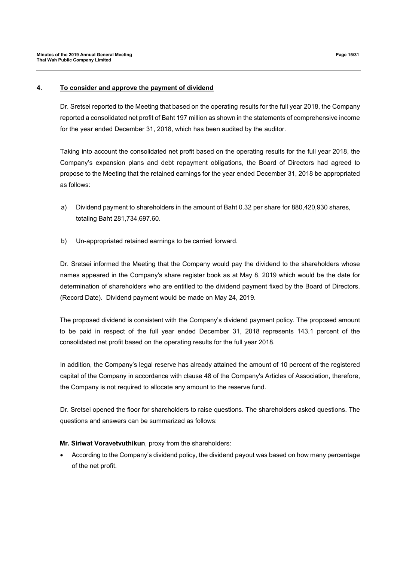### **4. To consider and approve the payment of dividend**

Dr. Sretsei reported to the Meeting that based on the operating results for the full year 2018, the Company reported a consolidated net profit of Baht 197 million as shown in the statements of comprehensive income for the year ended December 31, 2018, which has been audited by the auditor.

Taking into account the consolidated net profit based on the operating results for the full year 2018, the Company's expansion plans and debt repayment obligations, the Board of Directors had agreed to propose to the Meeting that the retained earnings for the year ended December 31, 2018 be appropriated as follows:

- a) Dividend payment to shareholders in the amount of Baht 0.32 per share for 880,420,930 shares, totaling Baht 281,734,697.60.
- b) Un-appropriated retained earnings to be carried forward.

Dr. Sretsei informed the Meeting that the Company would pay the dividend to the shareholders whose names appeared in the Company's share register book as at May 8, 2019 which would be the date for determination of shareholders who are entitled to the dividend payment fixed by the Board of Directors. (Record Date). Dividend payment would be made on May 24, 2019.

The proposed dividend is consistent with the Company's dividend payment policy. The proposed amount to be paid in respect of the full year ended December 31, 2018 represents 143.1 percent of the consolidated net profit based on the operating results for the full year 2018.

In addition, the Company's legal reserve has already attained the amount of 10 percent of the registered capital of the Company in accordance with clause 48 of the Company's Articles of Association, therefore, the Company is not required to allocate any amount to the reserve fund.

Dr. Sretsei opened the floor for shareholders to raise questions. The shareholders asked questions. The questions and answers can be summarized as follows:

## **Mr. Siriwat Voravetvuthikun**, proxy from the shareholders:

 According to the Company's dividend policy, the dividend payout was based on how many percentage of the net profit.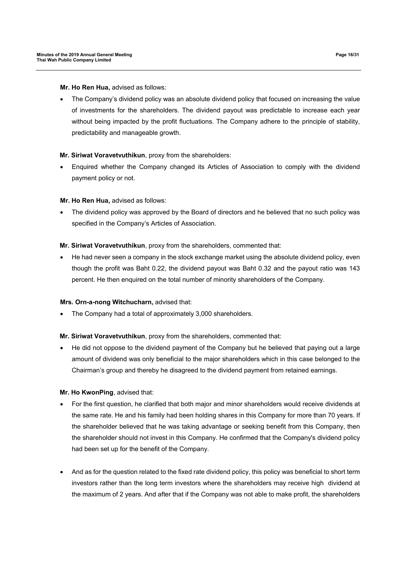**Mr. Ho Ren Hua,** advised as follows:

• The Company's dividend policy was an absolute dividend policy that focused on increasing the value of investments for the shareholders. The dividend payout was predictable to increase each year without being impacted by the profit fluctuations. The Company adhere to the principle of stability, predictability and manageable growth.

## **Mr. Siriwat Voravetvuthikun**, proxy from the shareholders:

 Enquired whether the Company changed its Articles of Association to comply with the dividend payment policy or not.

## **Mr. Ho Ren Hua,** advised as follows:

 The dividend policy was approved by the Board of directors and he believed that no such policy was specified in the Company's Articles of Association.

## **Mr. Siriwat Voravetvuthikun**, proxy from the shareholders, commented that:

 He had never seen a company in the stock exchange market using the absolute dividend policy, even though the profit was Baht 0.22, the dividend payout was Baht 0.32 and the payout ratio was 143 percent. He then enquired on the total number of minority shareholders of the Company.

## **Mrs. Orn-a-nong Witchucharn,** advised that:

The Company had a total of approximately 3,000 shareholders.

## **Mr. Siriwat Voravetvuthikun**, proxy from the shareholders, commented that:

 He did not oppose to the dividend payment of the Company but he believed that paying out a large amount of dividend was only beneficial to the major shareholders which in this case belonged to the Chairman's group and thereby he disagreed to the dividend payment from retained earnings.

## **Mr. Ho KwonPing**, advised that:

- For the first question, he clarified that both major and minor shareholders would receive dividends at the same rate. He and his family had been holding shares in this Company for more than 70 years. If the shareholder believed that he was taking advantage or seeking benefit from this Company, then the shareholder should not invest in this Company. He confirmed that the Company's dividend policy had been set up for the benefit of the Company.
- And as for the question related to the fixed rate dividend policy, this policy was beneficial to short term investors rather than the long term investors where the shareholders may receive high dividend at the maximum of 2 years. And after that if the Company was not able to make profit, the shareholders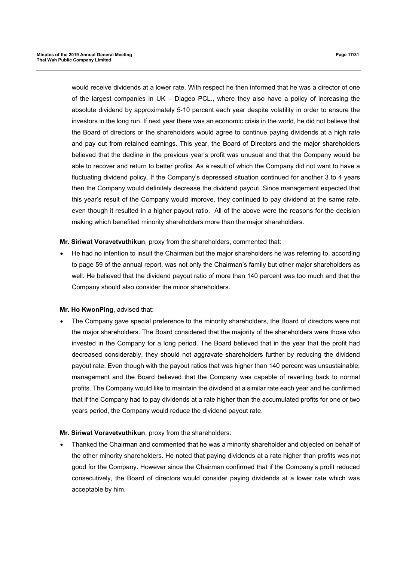would receive dividends at a lower rate. With respect he then informed that he was a director of one of the largest companies in UK – Diageo PCL., where they also have a policy of increasing the absolute dividend by approximately 5-10 percent each year despite volatility in order to ensure the investors in the long run. If next year there was an economic crisis in the world, he did not believe that the Board of directors or the shareholders would agree to continue paying dividends at a high rate and pay out from retained earnings. This year, the Board of Directors and the major shareholders believed that the decline in the previous year's profit was unusual and that the Company would be able to recover and return to better profits. As a result of which the Company did not want to have a fluctuating dividend policy. If the Company's depressed situation continued for another 3 to 4 years then the Company would definitely decrease the dividend payout. Since management expected that this year's result of the Company would improve, they continued to pay dividend at the same rate, even though it resulted in a higher payout ratio. All of the above were the reasons for the decision making which benefited minority shareholders more than the major shareholders.

#### **Mr. Siriwat Voravetvuthikun**, proxy from the shareholders, commented that:

 He had no intention to insult the Chairman but the major shareholders he was referring to, according to page 59 of the annual report, was not only the Chairman's family but other major shareholders as well. He believed that the dividend payout ratio of more than 140 percent was too much and that the Company should also consider the minor shareholders.

#### **Mr. Ho KwonPing**, advised that:

 The Company gave special preference to the minority shareholders, the Board of directors were not the major shareholders. The Board considered that the majority of the shareholders were those who invested in the Company for a long period. The Board believed that in the year that the profit had decreased considerably, they should not aggravate shareholders further by reducing the dividend payout rate. Even though with the payout ratios that was higher than 140 percent was unsustainable, management and the Board believed that the Company was capable of reverting back to normal profits. The Company would like to maintain the dividend at a similar rate each year and he confirmed that if the Company had to pay dividends at a rate higher than the accumulated profits for one or two years period, the Company would reduce the dividend payout rate.

#### **Mr. Siriwat Voravetvuthikun**, proxy from the shareholders:

 Thanked the Chairman and commented that he was a minority shareholder and objected on behalf of the other minority shareholders. He noted that paying dividends at a rate higher than profits was not good for the Company. However since the Chairman confirmed that if the Company's profit reduced consecutively, the Board of directors would consider paying dividends at a lower rate which was acceptable by him.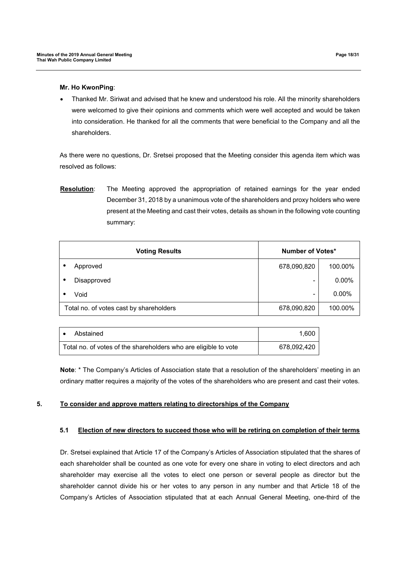#### **Mr. Ho KwonPing**:

 Thanked Mr. Siriwat and advised that he knew and understood his role. All the minority shareholders were welcomed to give their opinions and comments which were well accepted and would be taken into consideration. He thanked for all the comments that were beneficial to the Company and all the shareholders.

As there were no questions, Dr. Sretsei proposed that the Meeting consider this agenda item which was resolved as follows:

**Resolution**: The Meeting approved the appropriation of retained earnings for the year ended December 31, 2018 by a unanimous vote of the shareholders and proxy holders who were present at the Meeting and cast their votes, details as shown in the following vote counting summary:

| <b>Voting Results</b> |                                         | <b>Number of Votes*</b> |          |
|-----------------------|-----------------------------------------|-------------------------|----------|
|                       | Approved                                | 678,090,820             | 100.00%  |
|                       | Disapproved                             |                         | $0.00\%$ |
|                       | Void                                    | -                       | $0.00\%$ |
|                       | Total no. of votes cast by shareholders | 678,090,820             | 100.00%  |

| Abstained<br>$\bullet$                                          | 1.600       |
|-----------------------------------------------------------------|-------------|
| Total no. of votes of the shareholders who are eligible to vote | 678.092.420 |

**Note**: \* The Company's Articles of Association state that a resolution of the shareholders' meeting in an ordinary matter requires a majority of the votes of the shareholders who are present and cast their votes.

## **5. To consider and approve matters relating to directorships of the Company**

## **5.1 Election of new directors to succeed those who will be retiring on completion of their terms**

Dr. Sretsei explained that Article 17 of the Company's Articles of Association stipulated that the shares of each shareholder shall be counted as one vote for every one share in voting to elect directors and ach shareholder may exercise all the votes to elect one person or several people as director but the shareholder cannot divide his or her votes to any person in any number and that Article 18 of the Company's Articles of Association stipulated that at each Annual General Meeting, one-third of the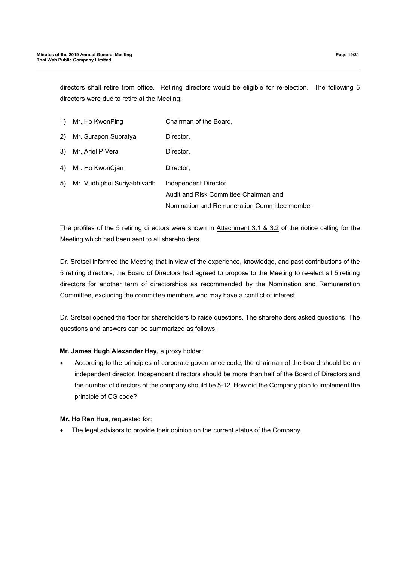directors shall retire from office. Retiring directors would be eligible for re-election. The following 5 directors were due to retire at the Meeting:

| 1) | Mr. Ho KwonPing             | Chairman of the Board,                       |
|----|-----------------------------|----------------------------------------------|
| 2) | Mr. Surapon Supratya        | Director,                                    |
| 3) | Mr. Ariel P Vera            | Director,                                    |
| 4) | Mr. Ho KwonCjan             | Director.                                    |
| 5) | Mr. Vudhiphol Suriyabhivadh | Independent Director,                        |
|    |                             | Audit and Risk Committee Chairman and        |
|    |                             | Nomination and Remuneration Committee member |

The profiles of the 5 retiring directors were shown in Attachment 3.1 & 3.2 of the notice calling for the Meeting which had been sent to all shareholders.

Dr. Sretsei informed the Meeting that in view of the experience, knowledge, and past contributions of the 5 retiring directors, the Board of Directors had agreed to propose to the Meeting to re-elect all 5 retiring directors for another term of directorships as recommended by the Nomination and Remuneration Committee, excluding the committee members who may have a conflict of interest.

Dr. Sretsei opened the floor for shareholders to raise questions. The shareholders asked questions. The questions and answers can be summarized as follows:

## **Mr. James Hugh Alexander Hay,** a proxy holder:

 According to the principles of corporate governance code, the chairman of the board should be an independent director. Independent directors should be more than half of the Board of Directors and the number of directors of the company should be 5-12. How did the Company plan to implement the principle of CG code?

## **Mr. Ho Ren Hua**, requested for:

The legal advisors to provide their opinion on the current status of the Company.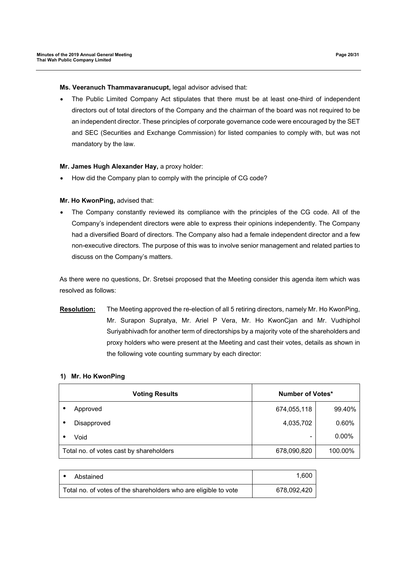#### **Ms. Veeranuch Thammavaranucupt,** legal advisor advised that:

 The Public Limited Company Act stipulates that there must be at least one-third of independent directors out of total directors of the Company and the chairman of the board was not required to be an independent director. These principles of corporate governance code were encouraged by the SET and SEC (Securities and Exchange Commission) for listed companies to comply with, but was not mandatory by the law.

#### **Mr. James Hugh Alexander Hay,** a proxy holder:

How did the Company plan to comply with the principle of CG code?

#### **Mr. Ho KwonPing,** advised that:

 The Company constantly reviewed its compliance with the principles of the CG code. All of the Company's independent directors were able to express their opinions independently. The Company had a diversified Board of directors. The Company also had a female independent director and a few non-executive directors. The purpose of this was to involve senior management and related parties to discuss on the Company's matters.

As there were no questions, Dr. Sretsei proposed that the Meeting consider this agenda item which was resolved as follows:

**Resolution:** The Meeting approved the re-election of all 5 retiring directors, namely Mr. Ho KwonPing, Mr. Surapon Supratya, Mr. Ariel P Vera, Mr. Ho KwonCjan and Mr. Vudhiphol Suriyabhivadh for another term of directorships by a majority vote of the shareholders and proxy holders who were present at the Meeting and cast their votes, details as shown in the following vote counting summary by each director:

#### **1) Mr. Ho KwonPing**

|   | <b>Voting Results</b>                   | <b>Number of Votes*</b> |          |
|---|-----------------------------------------|-------------------------|----------|
|   | Approved                                | 674,055,118             | 99.40%   |
| ٠ | Disapproved                             | 4,035,702               | 0.60%    |
|   | Void                                    | -                       | $0.00\%$ |
|   | Total no. of votes cast by shareholders | 678,090,820             | 100.00%  |

| Abstained                                                       | 1.600       |
|-----------------------------------------------------------------|-------------|
| Total no. of votes of the shareholders who are eligible to vote | 678,092,420 |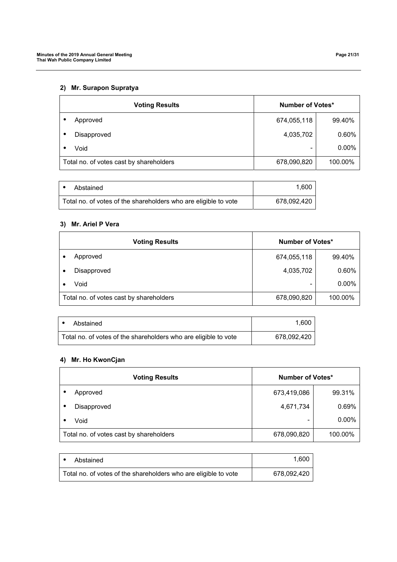# **2) Mr. Surapon Supratya**

|           | <b>Voting Results</b>                   | <b>Number of Votes*</b> |         |
|-----------|-----------------------------------------|-------------------------|---------|
|           | Approved                                | 674,055,118             | 99.40%  |
| $\bullet$ | Disapproved                             | 4,035,702               | 0.60%   |
|           | Void                                    | -                       | 0.00%   |
|           | Total no. of votes cast by shareholders | 678,090,820             | 100.00% |

| Abstained                                                       | 1.600       |
|-----------------------------------------------------------------|-------------|
| Total no. of votes of the shareholders who are eligible to vote | 678,092,420 |

# **3) Mr. Ariel P Vera**

|                                         | <b>Voting Results</b> | Number of Votes*         |         |
|-----------------------------------------|-----------------------|--------------------------|---------|
|                                         | Approved              | 674,055,118              | 99.40%  |
|                                         | Disapproved           | 4,035,702                | 0.60%   |
|                                         | Void                  | $\overline{\phantom{0}}$ | 0.00%   |
| Total no. of votes cast by shareholders |                       | 678,090,820              | 100.00% |

| Abstained                                                       | 1.600       |
|-----------------------------------------------------------------|-------------|
| Total no. of votes of the shareholders who are eligible to vote | 678.092.420 |

## **4) Mr. Ho KwonCjan**

| <b>Voting Results</b>                   | Number of Votes* |          |  |
|-----------------------------------------|------------------|----------|--|
| Approved<br>٠                           | 673,419,086      | 99.31%   |  |
| Disapproved<br>$\bullet$                | 4,671,734        | 0.69%    |  |
| Void                                    |                  | $0.00\%$ |  |
| Total no. of votes cast by shareholders | 678,090,820      | 100.00%  |  |

| Abstained                                                       | 1.600       |
|-----------------------------------------------------------------|-------------|
| Total no. of votes of the shareholders who are eligible to vote | 678,092,420 |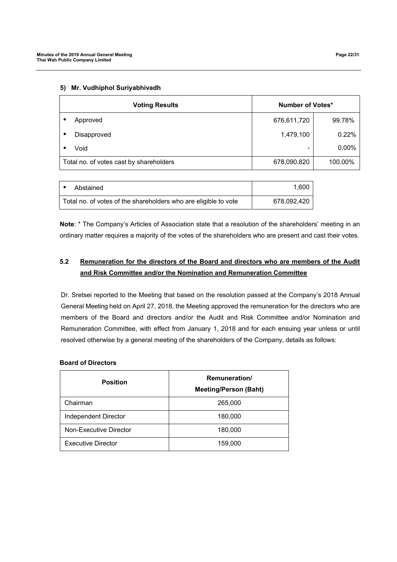| <b>Voting Results</b>                   |             | Number of Votes* |          |  |
|-----------------------------------------|-------------|------------------|----------|--|
|                                         | Approved    | 676,611,720      | 99.78%   |  |
|                                         | Disapproved | 1,479,100        | 0.22%    |  |
|                                         | Void        |                  | $0.00\%$ |  |
| Total no. of votes cast by shareholders |             | 678,090,820      | 100.00%  |  |

#### **5) Mr. Vudhiphol Suriyabhivadh**

| Abstained                                                       | 1.600       |
|-----------------------------------------------------------------|-------------|
| Total no. of votes of the shareholders who are eligible to vote | 678,092,420 |

**Note**: \* The Company's Articles of Association state that a resolution of the shareholders' meeting in an ordinary matter requires a majority of the votes of the shareholders who are present and cast their votes.

# **5.2 Remuneration for the directors of the Board and directors who are members of the Audit and Risk Committee and/or the Nomination and Remuneration Committee**

Dr. Sretsei reported to the Meeting that based on the resolution passed at the Company's 2018 Annual General Meeting held on April 27, 2018, the Meeting approved the remuneration for the directors who are members of the Board and directors and/or the Audit and Risk Committee and/or Nomination and Remuneration Committee, with effect from January 1, 2018 and for each ensuing year unless or until resolved otherwise by a general meeting of the shareholders of the Company, details as follows:

## **Board of Directors**

| <b>Position</b>             | Remuneration/<br><b>Meeting/Person (Baht)</b> |
|-----------------------------|-----------------------------------------------|
| Chairman                    | 265,000                                       |
| <b>Independent Director</b> | 180,000                                       |
| Non-Executive Director      | 180,000                                       |
| <b>Executive Director</b>   | 159,000                                       |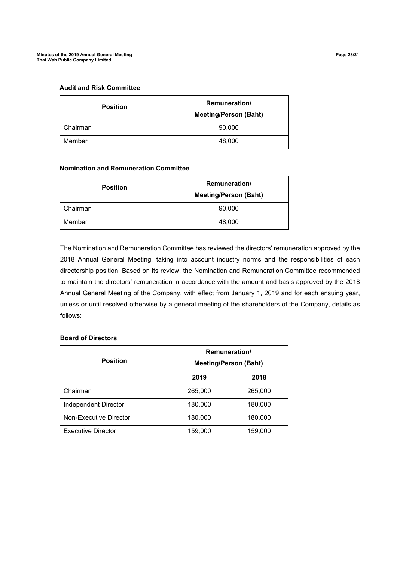### **Audit and Risk Committee**

| <b>Position</b> | <b>Remuneration</b> /<br><b>Meeting/Person (Baht)</b> |  |
|-----------------|-------------------------------------------------------|--|
| Chairman        | 90,000                                                |  |
| Member          | 48,000                                                |  |

### **Nomination and Remuneration Committee**

| <b>Position</b> | <b>Remuneration/</b><br><b>Meeting/Person (Baht)</b> |  |
|-----------------|------------------------------------------------------|--|
| Chairman        | 90,000                                               |  |
| Member          | 48,000                                               |  |

The Nomination and Remuneration Committee has reviewed the directors' remuneration approved by the 2018 Annual General Meeting, taking into account industry norms and the responsibilities of each directorship position. Based on its review, the Nomination and Remuneration Committee recommended to maintain the directors' remuneration in accordance with the amount and basis approved by the 2018 Annual General Meeting of the Company, with effect from January 1, 2019 and for each ensuing year, unless or until resolved otherwise by a general meeting of the shareholders of the Company, details as follows:

## **Board of Directors**

| <b>Position</b>           | Remuneration/<br><b>Meeting/Person (Baht)</b> |         |  |
|---------------------------|-----------------------------------------------|---------|--|
|                           | 2019                                          | 2018    |  |
| Chairman                  | 265,000                                       | 265,000 |  |
| Independent Director      | 180,000                                       | 180,000 |  |
| Non-Executive Director    | 180,000                                       | 180,000 |  |
| <b>Executive Director</b> | 159,000                                       | 159,000 |  |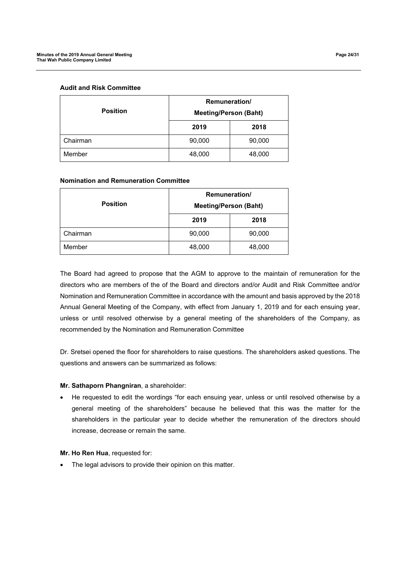### **Audit and Risk Committee**

|                 | <b>Remuneration/</b>         |        |
|-----------------|------------------------------|--------|
| <b>Position</b> | <b>Meeting/Person (Baht)</b> |        |
|                 | 2019                         | 2018   |
| Chairman        | 90,000                       | 90,000 |
| Member          | 48,000                       | 48,000 |

### **Nomination and Remuneration Committee**

| <b>Position</b> | <b>Remuneration/</b><br><b>Meeting/Person (Baht)</b> |        |
|-----------------|------------------------------------------------------|--------|
|                 | 2019                                                 | 2018   |
| Chairman        | 90,000                                               | 90,000 |
| Member          | 48,000                                               | 48,000 |

The Board had agreed to propose that the AGM to approve to the maintain of remuneration for the directors who are members of the of the Board and directors and/or Audit and Risk Committee and/or Nomination and Remuneration Committee in accordance with the amount and basis approved by the 2018 Annual General Meeting of the Company, with effect from January 1, 2019 and for each ensuing year, unless or until resolved otherwise by a general meeting of the shareholders of the Company, as recommended by the Nomination and Remuneration Committee

Dr. Sretsei opened the floor for shareholders to raise questions. The shareholders asked questions. The questions and answers can be summarized as follows:

#### **Mr. Sathaporn Phangniran**, a shareholder:

 He requested to edit the wordings "for each ensuing year, unless or until resolved otherwise by a general meeting of the shareholders" because he believed that this was the matter for the shareholders in the particular year to decide whether the remuneration of the directors should increase, decrease or remain the same.

#### **Mr. Ho Ren Hua**, requested for:

• The legal advisors to provide their opinion on this matter.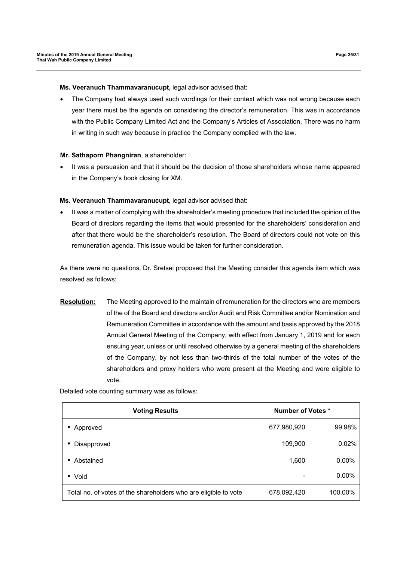### **Ms. Veeranuch Thammavaranucupt,** legal advisor advised that:

 The Company had always used such wordings for their context which was not wrong because each year there must be the agenda on considering the director's remuneration. This was in accordance with the Public Company Limited Act and the Company's Articles of Association. There was no harm in writing in such way because in practice the Company complied with the law.

#### **Mr. Sathaporn Phangniran**, a shareholder:

 It was a persuasion and that it should be the decision of those shareholders whose name appeared in the Company's book closing for XM.

#### **Ms. Veeranuch Thammavaranucupt,** legal advisor advised that:

 It was a matter of complying with the shareholder's meeting procedure that included the opinion of the Board of directors regarding the items that would presented for the shareholders' consideration and after that there would be the shareholder's resolution. The Board of directors could not vote on this remuneration agenda. This issue would be taken for further consideration.

As there were no questions, Dr. Sretsei proposed that the Meeting consider this agenda item which was resolved as follows:

**Resolution:** The Meeting approved to the maintain of remuneration for the directors who are members of the of the Board and directors and/or Audit and Risk Committee and/or Nomination and Remuneration Committee in accordance with the amount and basis approved by the 2018 Annual General Meeting of the Company, with effect from January 1, 2019 and for each ensuing year, unless or until resolved otherwise by a general meeting of the shareholders of the Company, by not less than two-thirds of the total number of the votes of the shareholders and proxy holders who were present at the Meeting and were eligible to vote.

Detailed vote counting summary was as follows:

| <b>Voting Results</b>                                           | <b>Number of Votes *</b> |          |  |
|-----------------------------------------------------------------|--------------------------|----------|--|
| Approved<br>٠                                                   | 677,980,920              | 99.98%   |  |
| Disapproved<br>$\bullet$                                        | 109,900                  | 0.02%    |  |
| Abstained<br>٠                                                  | 1,600                    | $0.00\%$ |  |
| • Void                                                          | ۰                        | $0.00\%$ |  |
| Total no. of votes of the shareholders who are eligible to vote | 678,092,420              | 100.00%  |  |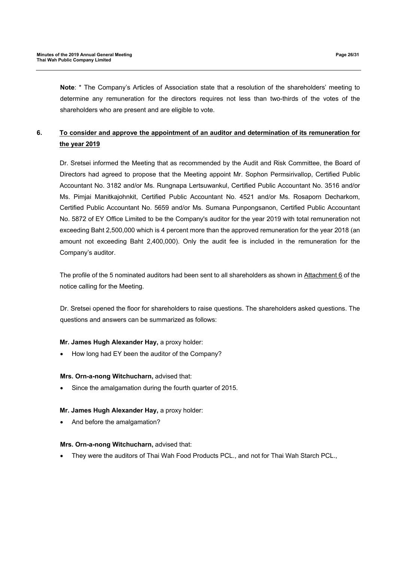**Note**: \* The Company's Articles of Association state that a resolution of the shareholders' meeting to determine any remuneration for the directors requires not less than two-thirds of the votes of the shareholders who are present and are eligible to vote.

# **6. To consider and approve the appointment of an auditor and determination of its remuneration for the year 2019**

Dr. Sretsei informed the Meeting that as recommended by the Audit and Risk Committee, the Board of Directors had agreed to propose that the Meeting appoint Mr. Sophon Permsirivallop, Certified Public Accountant No. 3182 and/or Ms. Rungnapa Lertsuwankul, Certified Public Accountant No. 3516 and/or Ms. Pimjai Manitkajohnkit, Certified Public Accountant No. 4521 and/or Ms. Rosaporn Decharkom, Certified Public Accountant No. 5659 and/or Ms. Sumana Punpongsanon, Certified Public Accountant No. 5872 of EY Office Limited to be the Company's auditor for the year 2019 with total remuneration not exceeding Baht 2,500,000 which is 4 percent more than the approved remuneration for the year 2018 (an amount not exceeding Baht 2,400,000). Only the audit fee is included in the remuneration for the Company's auditor.

The profile of the 5 nominated auditors had been sent to all shareholders as shown in Attachment 6 of the notice calling for the Meeting.

Dr. Sretsei opened the floor for shareholders to raise questions. The shareholders asked questions. The questions and answers can be summarized as follows:

# **Mr. James Hugh Alexander Hay,** a proxy holder:

How long had EY been the auditor of the Company?

## **Mrs. Orn-a-nong Witchucharn,** advised that:

Since the amalgamation during the fourth quarter of 2015.

## **Mr. James Hugh Alexander Hay,** a proxy holder:

And before the amalgamation?

## **Mrs. Orn-a-nong Witchucharn,** advised that:

They were the auditors of Thai Wah Food Products PCL., and not for Thai Wah Starch PCL.,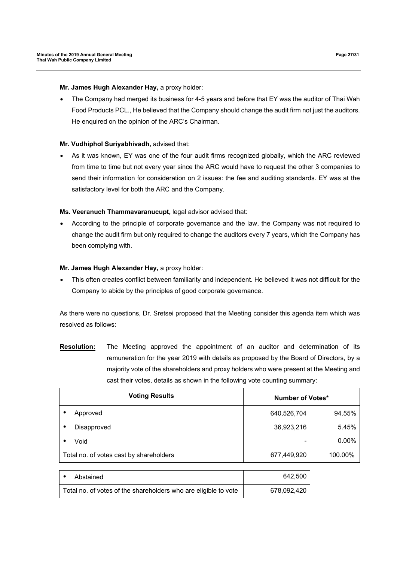**Mr. James Hugh Alexander Hay,** a proxy holder:

 The Company had merged its business for 4-5 years and before that EY was the auditor of Thai Wah Food Products PCL., He believed that the Company should change the audit firm not just the auditors. He enquired on the opinion of the ARC's Chairman.

## **Mr. Vudhiphol Suriyabhivadh,** advised that:

 As it was known, EY was one of the four audit firms recognized globally, which the ARC reviewed from time to time but not every year since the ARC would have to request the other 3 companies to send their information for consideration on 2 issues: the fee and auditing standards. EY was at the satisfactory level for both the ARC and the Company.

## **Ms. Veeranuch Thammavaranucupt,** legal advisor advised that:

 According to the principle of corporate governance and the law, the Company was not required to change the audit firm but only required to change the auditors every 7 years, which the Company has been complying with.

## **Mr. James Hugh Alexander Hay,** a proxy holder:

 This often creates conflict between familiarity and independent. He believed it was not difficult for the Company to abide by the principles of good corporate governance.

As there were no questions, Dr. Sretsei proposed that the Meeting consider this agenda item which was resolved as follows:

**Resolution:** The Meeting approved the appointment of an auditor and determination of its remuneration for the year 2019 with details as proposed by the Board of Directors, by a majority vote of the shareholders and proxy holders who were present at the Meeting and cast their votes, details as shown in the following vote counting summary:

| <b>Voting Results</b>                   | Number of Votes* |         |
|-----------------------------------------|------------------|---------|
| Approved                                | 640,526,704      | 94.55%  |
| Disapproved<br>٠                        | 36,923,216       | 5.45%   |
| Void                                    |                  | 0.00%   |
| Total no. of votes cast by shareholders | 677,449,920      | 100.00% |
|                                         |                  |         |

| Abstained                                                       | 642,500     |
|-----------------------------------------------------------------|-------------|
| Total no. of votes of the shareholders who are eligible to vote | 678,092,420 |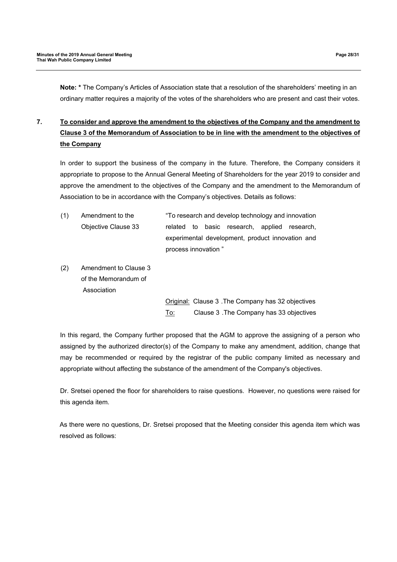**Note: \*** The Company's Articles of Association state that a resolution of the shareholders' meeting in an ordinary matter requires a majority of the votes of the shareholders who are present and cast their votes.

# **7. To consider and approve the amendment to the objectives of the Company and the amendment to Clause 3 of the Memorandum of Association to be in line with the amendment to the objectives of the Company**

In order to support the business of the company in the future. Therefore, the Company considers it appropriate to propose to the Annual General Meeting of Shareholders for the year 2019 to consider and approve the amendment to the objectives of the Company and the amendment to the Memorandum of Association to be in accordance with the Company's objectives. Details as follows:

| (1) | Amendment to the    | "To research and develop technology and innovation |  |  |                                              |  |
|-----|---------------------|----------------------------------------------------|--|--|----------------------------------------------|--|
|     | Objective Clause 33 |                                                    |  |  | related to basic research, applied research, |  |
|     |                     | experimental development, product innovation and   |  |  |                                              |  |
|     |                     | process innovation"                                |  |  |                                              |  |
|     |                     |                                                    |  |  |                                              |  |

(2) Amendment to Clause 3 of the Memorandum of Association

> Original: Clause 3 .The Company has 32 objectives To: Clause 3 .The Company has 33 objectives

In this regard, the Company further proposed that the AGM to approve the assigning of a person who assigned by the authorized director(s) of the Company to make any amendment, addition, change that may be recommended or required by the registrar of the public company limited as necessary and appropriate without affecting the substance of the amendment of the Company's objectives.

Dr. Sretsei opened the floor for shareholders to raise questions. However, no questions were raised for this agenda item.

As there were no questions, Dr. Sretsei proposed that the Meeting consider this agenda item which was resolved as follows: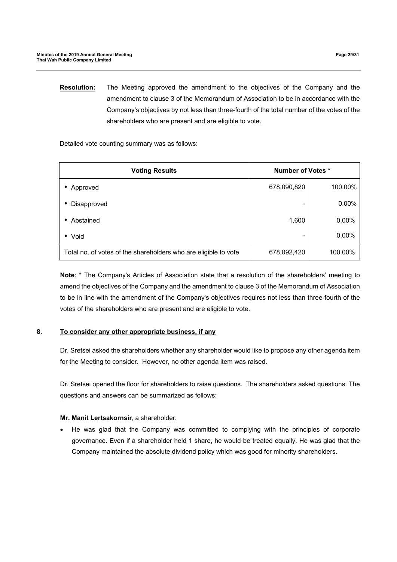**Resolution:** The Meeting approved the amendment to the objectives of the Company and the amendment to clause 3 of the Memorandum of Association to be in accordance with the Company's objectives by not less than three-fourth of the total number of the votes of the shareholders who are present and are eligible to vote.

Detailed vote counting summary was as follows:

| <b>Voting Results</b>                                           | <b>Number of Votes *</b> |          |  |
|-----------------------------------------------------------------|--------------------------|----------|--|
| Approved                                                        | 678,090,820              | 100.00%  |  |
| Disapproved                                                     | -                        | $0.00\%$ |  |
| Abstained                                                       | 1,600                    | $0.00\%$ |  |
| • Void                                                          |                          | $0.00\%$ |  |
| Total no. of votes of the shareholders who are eligible to vote | 678,092,420              | 100.00%  |  |

**Note**: \* The Company's Articles of Association state that a resolution of the shareholders' meeting to amend the objectives of the Company and the amendment to clause 3 of the Memorandum of Association to be in line with the amendment of the Company's objectives requires not less than three-fourth of the votes of the shareholders who are present and are eligible to vote.

# **8. To consider any other appropriate business, if any**

Dr. Sretsei asked the shareholders whether any shareholder would like to propose any other agenda item for the Meeting to consider. However, no other agenda item was raised.

Dr. Sretsei opened the floor for shareholders to raise questions. The shareholders asked questions. The questions and answers can be summarized as follows:

## **Mr. Manit Lertsakornsir**, a shareholder:

 He was glad that the Company was committed to complying with the principles of corporate governance. Even if a shareholder held 1 share, he would be treated equally. He was glad that the Company maintained the absolute dividend policy which was good for minority shareholders.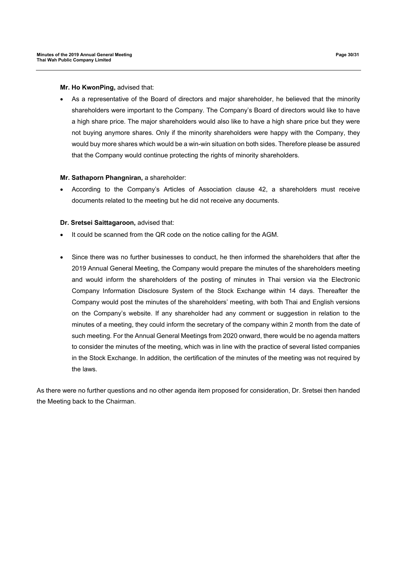**Mr. Ho KwonPing,** advised that:

 As a representative of the Board of directors and major shareholder, he believed that the minority shareholders were important to the Company. The Company's Board of directors would like to have a high share price. The major shareholders would also like to have a high share price but they were not buying anymore shares. Only if the minority shareholders were happy with the Company, they would buy more shares which would be a win-win situation on both sides. Therefore please be assured that the Company would continue protecting the rights of minority shareholders.

## **Mr. Sathaporn Phangniran,** a shareholder:

 According to the Company's Articles of Association clause 42, a shareholders must receive documents related to the meeting but he did not receive any documents.

#### **Dr. Sretsei Saittagaroon,** advised that:

- It could be scanned from the QR code on the notice calling for the AGM.
- Since there was no further businesses to conduct, he then informed the shareholders that after the 2019 Annual General Meeting, the Company would prepare the minutes of the shareholders meeting and would inform the shareholders of the posting of minutes in Thai version via the Electronic Company Information Disclosure System of the Stock Exchange within 14 days. Thereafter the Company would post the minutes of the shareholders' meeting, with both Thai and English versions on the Company's website. If any shareholder had any comment or suggestion in relation to the minutes of a meeting, they could inform the secretary of the company within 2 month from the date of such meeting. For the Annual General Meetings from 2020 onward, there would be no agenda matters to consider the minutes of the meeting, which was in line with the practice of several listed companies in the Stock Exchange. In addition, the certification of the minutes of the meeting was not required by the laws.

As there were no further questions and no other agenda item proposed for consideration, Dr. Sretsei then handed the Meeting back to the Chairman.